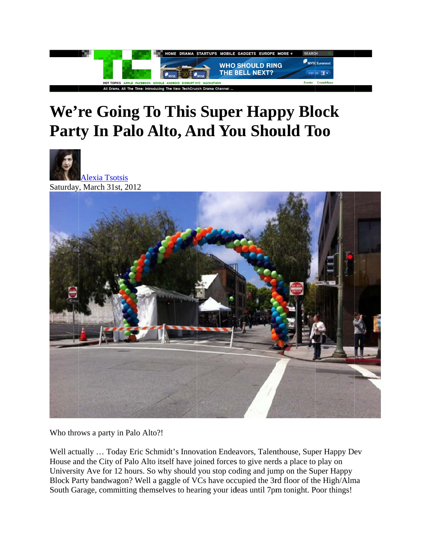

## We're Going To This Super Happy Block Party In Palo Alto, And You Should Too





Who throws a party in Palo Alto?!

Well actually ... Today Eric Schmidt's Innovation Endeavors, Talenthouse, Super Happy Dev House and the City of Palo Alto itself have joined forces to give nerds a place to play on University Ave for 12 hours. So why should you stop coding and jump on the Super Happy Block Party bandwagon? Well a gaggle of VCs have occupied the 3rd floor of the High/Alma South Garage, committing themselves to hearing your ideas until 7pm tonight. Poor things!